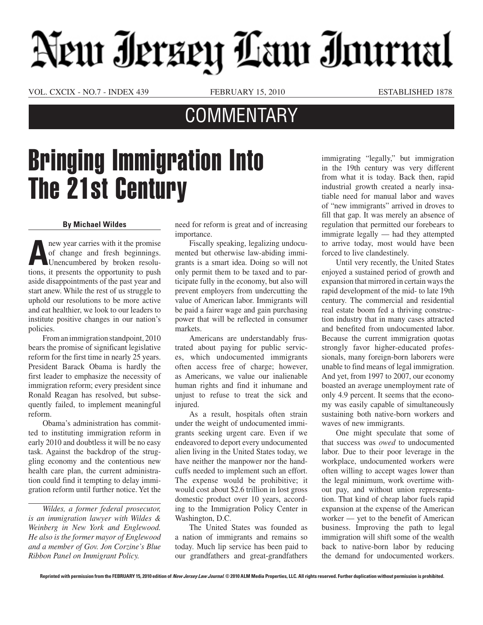## New Ierzey Law Immal

VOL. CXCIX - NO.7 - INDEX 439 FEBRUARY 15, 2010 ESTABLISHED 1878

## **COMMENTARY**

## Bringing Immigration Into The 21st Century

## **By Michael Wildes**

**A** new year carries with it the promise<br>of change and fresh beginnings.<br>Unencumbered by broken resoluof change and fresh beginnings. Unencumbered by broken resolutions, it presents the opportunity to push aside disappointments of the past year and start anew. While the rest of us struggle to uphold our resolutions to be more active and eat healthier, we look to our leaders to institute positive changes in our nation's policies.

From an immigration standpoint, 2010 bears the promise of significant legislative reform for the first time in nearly 25 years. President Barack Obama is hardly the first leader to emphasize the necessity of immigration reform; every president since Ronald Reagan has resolved, but subsequently failed, to implement meaningful reform.

Obama's administration has committed to instituting immigration reform in early 2010 and doubtless it will be no easy task. Against the backdrop of the struggling economy and the contentious new health care plan, the current administration could find it tempting to delay immigration reform until further notice. Yet the

*Wildes, a former federal prosecutor, is an immigration lawyer with Wildes & Weinberg in New York and Englewood. He also is the former mayor of Englewood and a member of Gov. Jon Corzine's Blue Ribbon Panel on Immigrant Policy.*

need for reform is great and of increasing importance.

Fiscally speaking, legalizing undocumented but otherwise law-abiding immigrants is a smart idea. Doing so will not only permit them to be taxed and to participate fully in the economy, but also will prevent employers from undercutting the value of American labor. Immigrants will be paid a fairer wage and gain purchasing power that will be reflected in consumer markets.

Americans are understandably frustrated about paying for public services, which undocumented immigrants often access free of charge; however, as Americans, we value our inalienable human rights and find it inhumane and unjust to refuse to treat the sick and injured.

As a result, hospitals often strain under the weight of undocumented immigrants seeking urgent care. Even if we endeavored to deport every undocumented alien living in the United States today, we have neither the manpower nor the handcuffs needed to implement such an effort. The expense would be prohibitive; it would cost about \$2.6 trillion in lost gross domestic product over 10 years, according to the Immigration Policy Center in Washington, D.C.

The United States was founded as a nation of immigrants and remains so today. Much lip service has been paid to our grandfathers and great-grandfathers immigrating "legally," but immigration in the 19th century was very different from what it is today. Back then, rapid industrial growth created a nearly insatiable need for manual labor and waves of "new immigrants" arrived in droves to fill that gap. It was merely an absence of regulation that permitted our forebears to immigrate legally — had they attempted to arrive today, most would have been forced to live clandestinely.

Until very recently, the United States enjoyed a sustained period of growth and expansion that mirrored in certain ways the rapid development of the mid- to late 19th century. The commercial and residential real estate boom fed a thriving construction industry that in many cases attracted and benefited from undocumented labor. Because the current immigration quotas strongly favor higher-educated professionals, many foreign-born laborers were unable to find means of legal immigration. And yet, from 1997 to 2007, our economy boasted an average unemployment rate of only 4.9 percent. It seems that the economy was easily capable of simultaneously sustaining both native-born workers and waves of new immigrants.

One might speculate that some of that success was *owed* to undocumented labor. Due to their poor leverage in the workplace, undocumented workers were often willing to accept wages lower than the legal minimum, work overtime without pay, and without union representation. That kind of cheap labor fuels rapid expansion at the expense of the American worker — yet to the benefit of American business. Improving the path to legal immigration will shift some of the wealth back to native-born labor by reducing the demand for undocumented workers.